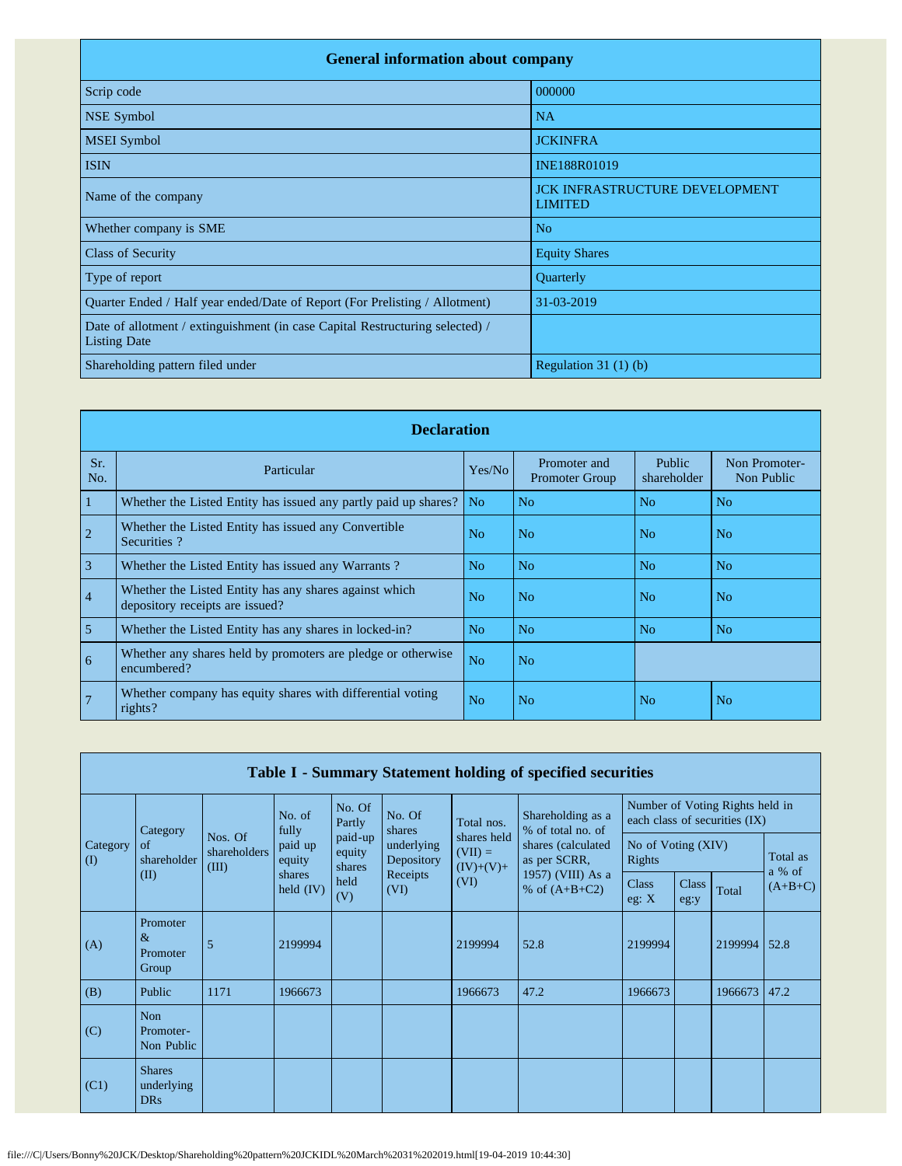| <b>General information about company</b>                                                             |                                                         |  |  |  |  |  |  |
|------------------------------------------------------------------------------------------------------|---------------------------------------------------------|--|--|--|--|--|--|
| Scrip code                                                                                           | 000000                                                  |  |  |  |  |  |  |
| NSE Symbol                                                                                           | <b>NA</b>                                               |  |  |  |  |  |  |
| <b>MSEI</b> Symbol                                                                                   | <b>JCKINFRA</b>                                         |  |  |  |  |  |  |
| <b>ISIN</b>                                                                                          | INE188R01019                                            |  |  |  |  |  |  |
| Name of the company                                                                                  | <b>JCK INFRASTRUCTURE DEVELOPMENT</b><br><b>LIMITED</b> |  |  |  |  |  |  |
| Whether company is SME                                                                               | No                                                      |  |  |  |  |  |  |
| <b>Class of Security</b>                                                                             | <b>Equity Shares</b>                                    |  |  |  |  |  |  |
| Type of report                                                                                       | Quarterly                                               |  |  |  |  |  |  |
| Quarter Ended / Half year ended/Date of Report (For Prelisting / Allotment)                          | 31-03-2019                                              |  |  |  |  |  |  |
| Date of allotment / extinguishment (in case Capital Restructuring selected) /<br><b>Listing Date</b> |                                                         |  |  |  |  |  |  |
| Shareholding pattern filed under                                                                     | Regulation $31(1)(b)$                                   |  |  |  |  |  |  |

|                | <b>Declaration</b>                                                                        |                |                                       |                              |                             |  |  |  |  |  |
|----------------|-------------------------------------------------------------------------------------------|----------------|---------------------------------------|------------------------------|-----------------------------|--|--|--|--|--|
| Sr.<br>No.     | Particular                                                                                | Yes/No         | Promoter and<br><b>Promoter Group</b> | <b>Public</b><br>shareholder | Non Promoter-<br>Non Public |  |  |  |  |  |
| $\vert$ 1      | Whether the Listed Entity has issued any partly paid up shares?                           | N <sub>o</sub> | N <sub>o</sub>                        | N <sub>o</sub>               | N <sub>o</sub>              |  |  |  |  |  |
| $\overline{2}$ | Whether the Listed Entity has issued any Convertible<br>Securities?                       | N <sub>o</sub> | N <sub>o</sub>                        | N <sub>o</sub>               | N <sub>o</sub>              |  |  |  |  |  |
| $\overline{3}$ | Whether the Listed Entity has issued any Warrants?                                        | N <sub>o</sub> | N <sub>o</sub>                        | N <sub>o</sub>               | N <sub>o</sub>              |  |  |  |  |  |
| 4              | Whether the Listed Entity has any shares against which<br>depository receipts are issued? | N <sub>o</sub> | N <sub>o</sub>                        | N <sub>o</sub>               | N <sub>o</sub>              |  |  |  |  |  |
| $\overline{5}$ | Whether the Listed Entity has any shares in locked-in?                                    | N <sub>o</sub> | N <sub>0</sub>                        | N <sub>o</sub>               | No                          |  |  |  |  |  |
| $\overline{6}$ | Whether any shares held by promoters are pledge or otherwise<br>encumbered?               | N <sub>o</sub> | No                                    |                              |                             |  |  |  |  |  |
| 7              | Whether company has equity shares with differential voting<br>rights?                     | N <sub>o</sub> | N <sub>o</sub>                        | N <sub>o</sub>               | N <sub>o</sub>              |  |  |  |  |  |

|                 | Table I - Summary Statement holding of specified securities |                                  |                                            |                                            |                                                                  |                                                 |                                        |                                                                  |                      |         |                     |
|-----------------|-------------------------------------------------------------|----------------------------------|--------------------------------------------|--------------------------------------------|------------------------------------------------------------------|-------------------------------------------------|----------------------------------------|------------------------------------------------------------------|----------------------|---------|---------------------|
|                 | Category                                                    |                                  | No. of<br>fully                            | No. Of<br>Partly                           | No. Of<br>shares<br>underlying<br>Depository<br>Receipts<br>(VI) | Total nos.                                      | Shareholding as a<br>% of total no. of | Number of Voting Rights held in<br>each class of securities (IX) |                      |         |                     |
| Category<br>(I) | of<br>shareholder                                           | Nos. Of<br>shareholders<br>(III) | paid up<br>equity<br>shares<br>held $(IV)$ | paid-up<br>equity<br>shares<br>held<br>(V) |                                                                  | shares held<br>$(VII) =$<br>$(IV)+(V)+$<br>(VI) | shares (calculated<br>as per SCRR,     | No of Voting (XIV)<br>Rights                                     |                      |         | Total as            |
|                 | (II)                                                        |                                  |                                            |                                            |                                                                  |                                                 | 1957) (VIII) As a<br>% of $(A+B+C2)$   | <b>Class</b><br>eg: X                                            | <b>Class</b><br>eg:y | Total   | a % of<br>$(A+B+C)$ |
| (A)             | Promoter<br>$\&$<br>Promoter<br>Group                       | 5                                | 2199994                                    |                                            |                                                                  | 2199994                                         | 52.8                                   | 2199994                                                          |                      | 2199994 | 52.8                |
| (B)             | Public                                                      | 1171                             | 1966673                                    |                                            |                                                                  | 1966673                                         | 47.2                                   | 1966673                                                          |                      | 1966673 | 47.2                |
| (C)             | Non<br>Promoter-<br>Non Public                              |                                  |                                            |                                            |                                                                  |                                                 |                                        |                                                                  |                      |         |                     |
| (C1)            | <b>Shares</b><br>underlying<br><b>DRs</b>                   |                                  |                                            |                                            |                                                                  |                                                 |                                        |                                                                  |                      |         |                     |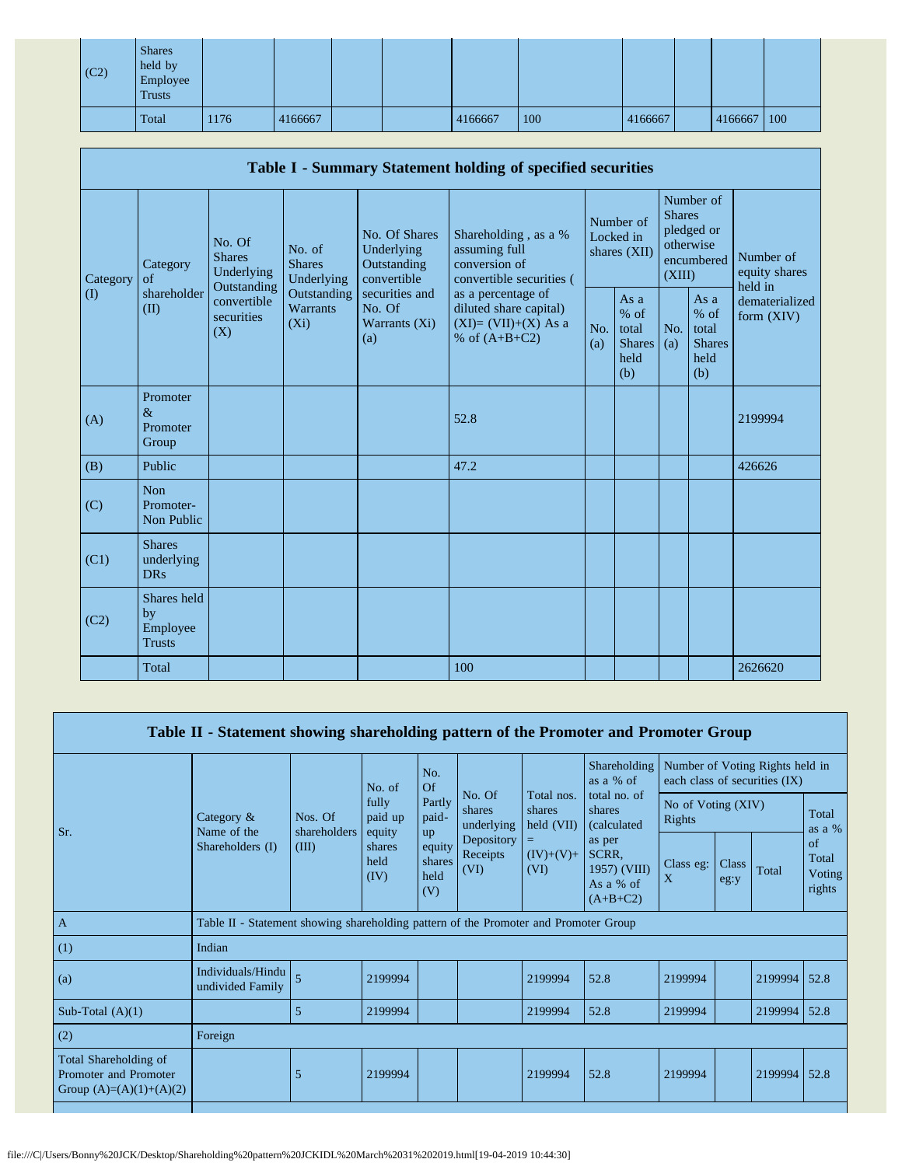| $\vert$ (C2) | <b>Shares</b><br>held by<br>Employee<br><b>Trusts</b> |      |         |  |         |     |         |         |     |
|--------------|-------------------------------------------------------|------|---------|--|---------|-----|---------|---------|-----|
|              | Total                                                 | 1176 | 4166667 |  | 4166667 | 100 | 4166667 | 4166667 | 100 |

|          | Table I - Summary Statement holding of specified securities |                                                                                                                                                                         |                                                  |                                                                                          |                                                                                    |                                                         |                                        |                                                                               |  |                                                                       |
|----------|-------------------------------------------------------------|-------------------------------------------------------------------------------------------------------------------------------------------------------------------------|--------------------------------------------------|------------------------------------------------------------------------------------------|------------------------------------------------------------------------------------|---------------------------------------------------------|----------------------------------------|-------------------------------------------------------------------------------|--|-----------------------------------------------------------------------|
| Category | Category<br>of<br>shareholder<br>(II)                       | No. Of<br>No. of<br><b>Shares</b><br><b>Shares</b><br>Underlying<br>Underlying<br>Outstanding<br>Outstanding<br>convertible<br>Warrants<br>securities<br>$(X_i)$<br>(X) |                                                  | No. Of Shares<br>Underlying<br>Outstanding<br>convertible                                | Shareholding, as a %<br>assuming full<br>conversion of<br>convertible securities ( |                                                         | Number of<br>Locked in<br>shares (XII) | Number of<br><b>Shares</b><br>pledged or<br>otherwise<br>encumbered<br>(XIII) |  | Number of<br>equity shares<br>held in<br>dematerialized<br>form (XIV) |
| $\rm(D)$ |                                                             |                                                                                                                                                                         | securities and<br>No. Of<br>Warrants (Xi)<br>(a) | as a percentage of<br>diluted share capital)<br>$(XI)=(VII)+(X)$ As a<br>% of $(A+B+C2)$ | No.<br>(a)                                                                         | As a<br>$%$ of<br>total<br><b>Shares</b><br>held<br>(b) | No.<br>(a)                             | As a<br>$%$ of<br>total<br><b>Shares</b><br>held<br>(b)                       |  |                                                                       |
| (A)      | Promoter<br>$\&$<br>Promoter<br>Group                       |                                                                                                                                                                         |                                                  |                                                                                          | 52.8                                                                               |                                                         |                                        |                                                                               |  | 2199994                                                               |
| (B)      | Public                                                      |                                                                                                                                                                         |                                                  |                                                                                          | 47.2                                                                               |                                                         |                                        |                                                                               |  | 426626                                                                |
| (C)      | Non<br>Promoter-<br>Non Public                              |                                                                                                                                                                         |                                                  |                                                                                          |                                                                                    |                                                         |                                        |                                                                               |  |                                                                       |
| (C1)     | <b>Shares</b><br>underlying<br><b>DRs</b>                   |                                                                                                                                                                         |                                                  |                                                                                          |                                                                                    |                                                         |                                        |                                                                               |  |                                                                       |
| (C2)     | Shares held<br>by<br>Employee<br><b>Trusts</b>              |                                                                                                                                                                         |                                                  |                                                                                          |                                                                                    |                                                         |                                        |                                                                               |  |                                                                       |
|          | Total                                                       |                                                                                                                                                                         |                                                  |                                                                                          | 100                                                                                |                                                         |                                        |                                                                               |  | 2626620                                                               |

| Table II - Statement showing shareholding pattern of the Promoter and Promoter Group |                                                                                      |                         |                                      |                                           |                                                                  |                                                                    |                                                                                                                                    |                                                                  |               |         |                                        |
|--------------------------------------------------------------------------------------|--------------------------------------------------------------------------------------|-------------------------|--------------------------------------|-------------------------------------------|------------------------------------------------------------------|--------------------------------------------------------------------|------------------------------------------------------------------------------------------------------------------------------------|------------------------------------------------------------------|---------------|---------|----------------------------------------|
|                                                                                      |                                                                                      |                         | No. of<br>fully<br>paid up<br>equity | No.<br>Of<br>Partly<br>paid-<br><b>up</b> | No. Of<br>shares<br>underlying<br>Depository<br>Receipts<br>(VI) | Total nos.<br>shares<br>$\text{held (VII)}$<br>$(IV)+(V)+$<br>(VI) | Shareholding<br>as a $%$ of<br>total no. of<br>shares<br>(calculated<br>as per<br>SCRR,<br>1957) (VIII)<br>As a % of<br>$(A+B+C2)$ | Number of Voting Rights held in<br>each class of securities (IX) |               |         |                                        |
| Sr.                                                                                  | Category $\&$<br>Name of the<br>Shareholders (I)                                     | Nos. Of<br>shareholders |                                      |                                           |                                                                  |                                                                    |                                                                                                                                    | No of Voting (XIV)<br>Rights                                     |               |         | Total<br>as a %                        |
|                                                                                      |                                                                                      | (III)                   | shares<br>held<br>(IV)               | equity<br>shares<br>held<br>(V)           |                                                                  |                                                                    |                                                                                                                                    | Class eg:<br>$\mathbf{X}$                                        | Class<br>eg:y | Total   | of<br>Total<br><b>Voting</b><br>rights |
| $\overline{A}$                                                                       | Table II - Statement showing shareholding pattern of the Promoter and Promoter Group |                         |                                      |                                           |                                                                  |                                                                    |                                                                                                                                    |                                                                  |               |         |                                        |
| (1)                                                                                  | Indian                                                                               |                         |                                      |                                           |                                                                  |                                                                    |                                                                                                                                    |                                                                  |               |         |                                        |
| (a)                                                                                  | Individuals/Hindu<br>undivided Family                                                | 5                       | 2199994                              |                                           |                                                                  | 2199994                                                            | 52.8                                                                                                                               | 2199994                                                          |               | 2199994 | 52.8                                   |
| Sub-Total $(A)(1)$                                                                   |                                                                                      | 5                       | 2199994                              |                                           |                                                                  | 2199994                                                            | 52.8                                                                                                                               | 2199994                                                          |               | 2199994 | 52.8                                   |
| (2)                                                                                  | Foreign                                                                              |                         |                                      |                                           |                                                                  |                                                                    |                                                                                                                                    |                                                                  |               |         |                                        |
| Total Shareholding of<br>Promoter and Promoter<br>Group $(A)=(A)(1)+(A)(2)$          |                                                                                      | 5                       | 2199994                              |                                           |                                                                  | 2199994                                                            | 52.8                                                                                                                               | 2199994                                                          |               | 2199994 | 52.8                                   |
|                                                                                      |                                                                                      |                         |                                      |                                           |                                                                  |                                                                    |                                                                                                                                    |                                                                  |               |         |                                        |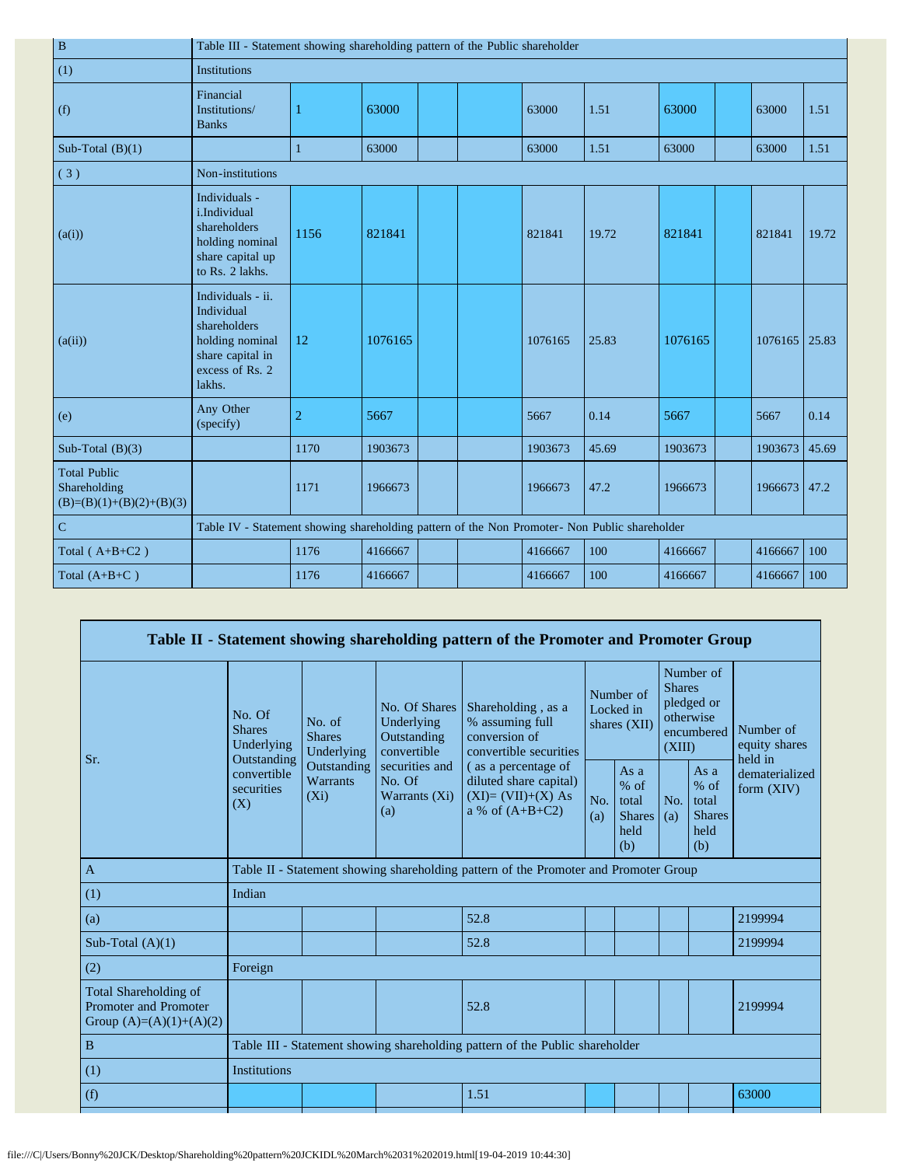| $\, {\bf B}$                                                      | Table III - Statement showing shareholding pattern of the Public shareholder                                        |                                                                                               |         |  |  |         |       |         |  |         |       |
|-------------------------------------------------------------------|---------------------------------------------------------------------------------------------------------------------|-----------------------------------------------------------------------------------------------|---------|--|--|---------|-------|---------|--|---------|-------|
| (1)                                                               | <b>Institutions</b>                                                                                                 |                                                                                               |         |  |  |         |       |         |  |         |       |
| (f)                                                               | Financial<br>Institutions/<br><b>Banks</b>                                                                          |                                                                                               | 63000   |  |  | 63000   | 1.51  | 63000   |  | 63000   | 1.51  |
| Sub-Total $(B)(1)$                                                |                                                                                                                     | $\mathbf{1}$                                                                                  | 63000   |  |  | 63000   | 1.51  | 63000   |  | 63000   | 1.51  |
| (3)                                                               | Non-institutions                                                                                                    |                                                                                               |         |  |  |         |       |         |  |         |       |
| (a(i))                                                            | Individuals -<br>i.Individual<br>shareholders<br>holding nominal<br>share capital up<br>to Rs. 2 lakhs.             | 1156                                                                                          | 821841  |  |  | 821841  | 19.72 | 821841  |  | 821841  | 19.72 |
| (a(ii))                                                           | Individuals - ii.<br>Individual<br>shareholders<br>holding nominal<br>share capital in<br>excess of Rs. 2<br>lakhs. | 12                                                                                            | 1076165 |  |  | 1076165 | 25.83 | 1076165 |  | 1076165 | 25.83 |
| (e)                                                               | Any Other<br>(specify)                                                                                              | $\overline{2}$                                                                                | 5667    |  |  | 5667    | 0.14  | 5667    |  | 5667    | 0.14  |
| Sub-Total $(B)(3)$                                                |                                                                                                                     | 1170                                                                                          | 1903673 |  |  | 1903673 | 45.69 | 1903673 |  | 1903673 | 45.69 |
| <b>Total Public</b><br>Shareholding<br>$(B)=(B)(1)+(B)(2)+(B)(3)$ |                                                                                                                     | 1171                                                                                          | 1966673 |  |  | 1966673 | 47.2  | 1966673 |  | 1966673 | 147.2 |
| $\mathbf C$                                                       |                                                                                                                     | Table IV - Statement showing shareholding pattern of the Non Promoter- Non Public shareholder |         |  |  |         |       |         |  |         |       |
| Total $(A+B+C2)$                                                  |                                                                                                                     | 1176                                                                                          | 4166667 |  |  | 4166667 | 100   | 4166667 |  | 4166667 | 100   |
| Total $(A+B+C)$                                                   |                                                                                                                     | 1176                                                                                          | 4166667 |  |  | 4166667 | 100   | 4166667 |  | 4166667 | 100   |

|                                                                             |                                                                                          |                                           |                                                                                                               | Table II - Statement showing shareholding pattern of the Promoter and Promoter Group      |            |                                                         |            |                                                                               |                                       |
|-----------------------------------------------------------------------------|------------------------------------------------------------------------------------------|-------------------------------------------|---------------------------------------------------------------------------------------------------------------|-------------------------------------------------------------------------------------------|------------|---------------------------------------------------------|------------|-------------------------------------------------------------------------------|---------------------------------------|
|                                                                             | No. Of<br><b>Shares</b><br>Underlying<br>Outstanding<br>convertible<br>securities<br>(X) | No. of<br><b>Shares</b><br>Underlying     | No. Of Shares<br>Underlying<br>Outstanding<br>convertible<br>securities and<br>No. Of<br>Warrants (Xi)<br>(a) | Shareholding, as a<br>% assuming full<br>conversion of<br>convertible securities          |            | Number of<br>Locked in<br>shares (XII)                  |            | Number of<br><b>Shares</b><br>pledged or<br>otherwise<br>encumbered<br>(XIII) | Number of<br>equity shares<br>held in |
| Sr.                                                                         |                                                                                          | Outstanding<br><b>Warrants</b><br>$(X_i)$ |                                                                                                               | (as a percentage of<br>diluted share capital)<br>$(XI)=(VII)+(X) As$<br>a % of $(A+B+C2)$ | No.<br>(a) | As a<br>$%$ of<br>total<br><b>Shares</b><br>held<br>(b) | No.<br>(a) | As a<br>% of<br>total<br><b>Shares</b><br>held<br>(b)                         | dematerialized<br>form $(XIV)$        |
| $\mathbf{A}$                                                                |                                                                                          |                                           |                                                                                                               | Table II - Statement showing shareholding pattern of the Promoter and Promoter Group      |            |                                                         |            |                                                                               |                                       |
| (1)                                                                         | Indian                                                                                   |                                           |                                                                                                               |                                                                                           |            |                                                         |            |                                                                               |                                       |
| (a)                                                                         |                                                                                          |                                           |                                                                                                               | 52.8                                                                                      |            |                                                         |            |                                                                               | 2199994                               |
| Sub-Total $(A)(1)$                                                          |                                                                                          |                                           |                                                                                                               | 52.8                                                                                      |            |                                                         |            |                                                                               | 2199994                               |
| (2)                                                                         | Foreign                                                                                  |                                           |                                                                                                               |                                                                                           |            |                                                         |            |                                                                               |                                       |
| Total Shareholding of<br>Promoter and Promoter<br>Group $(A)=(A)(1)+(A)(2)$ |                                                                                          |                                           |                                                                                                               | 52.8                                                                                      |            |                                                         |            |                                                                               | 2199994                               |
| $\, {\bf B}$                                                                | Table III - Statement showing shareholding pattern of the Public shareholder             |                                           |                                                                                                               |                                                                                           |            |                                                         |            |                                                                               |                                       |
| (1)                                                                         | <b>Institutions</b>                                                                      |                                           |                                                                                                               |                                                                                           |            |                                                         |            |                                                                               |                                       |
| (f)                                                                         |                                                                                          |                                           |                                                                                                               | 1.51                                                                                      |            |                                                         |            |                                                                               | 63000                                 |
|                                                                             |                                                                                          |                                           |                                                                                                               |                                                                                           |            |                                                         |            |                                                                               |                                       |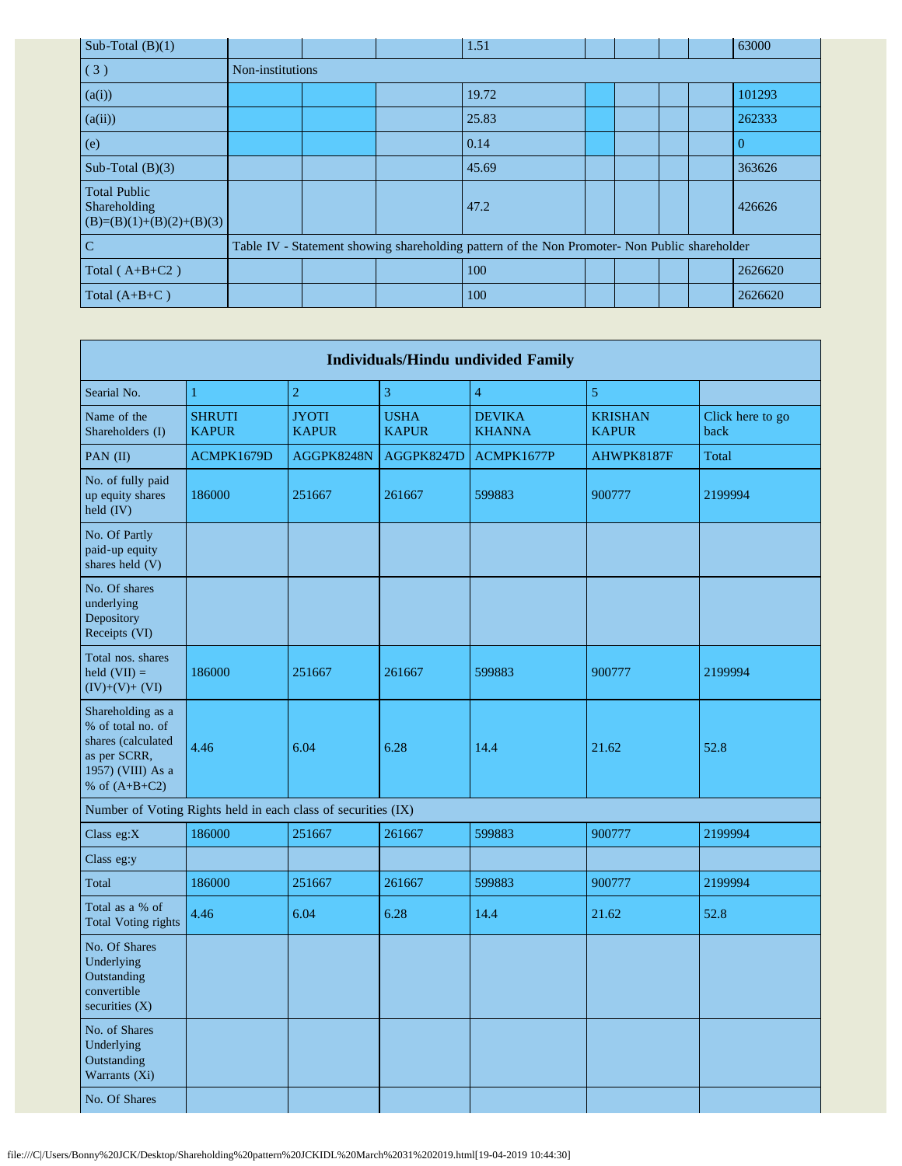| Sub-Total $(B)(1)$                                                |                                                                                               |  | 1.51  |  |  |  |  | 63000   |
|-------------------------------------------------------------------|-----------------------------------------------------------------------------------------------|--|-------|--|--|--|--|---------|
| (3)                                                               | Non-institutions                                                                              |  |       |  |  |  |  |         |
| (a(i))                                                            |                                                                                               |  | 19.72 |  |  |  |  | 101293  |
| (a(ii))                                                           |                                                                                               |  | 25.83 |  |  |  |  | 262333  |
| (e)                                                               |                                                                                               |  | 0.14  |  |  |  |  | v       |
| Sub-Total $(B)(3)$                                                |                                                                                               |  | 45.69 |  |  |  |  | 363626  |
| <b>Total Public</b><br>Shareholding<br>$(B)=(B)(1)+(B)(2)+(B)(3)$ |                                                                                               |  | 47.2  |  |  |  |  | 426626  |
| $\overline{C}$                                                    | Table IV - Statement showing shareholding pattern of the Non Promoter- Non Public shareholder |  |       |  |  |  |  |         |
| Total $(A+B+C2)$                                                  |                                                                                               |  | 100   |  |  |  |  | 2626620 |
| Total $(A+B+C)$                                                   |                                                                                               |  | 100   |  |  |  |  | 2626620 |

| <b>Individuals/Hindu undivided Family</b>                                                                            |                               |                              |                             |                                |                                |                          |  |
|----------------------------------------------------------------------------------------------------------------------|-------------------------------|------------------------------|-----------------------------|--------------------------------|--------------------------------|--------------------------|--|
| Searial No.                                                                                                          | $\mathbf{1}$                  | $\sqrt{2}$                   | 3                           | $\overline{4}$                 | 5                              |                          |  |
| Name of the<br>Shareholders (I)                                                                                      | <b>SHRUTI</b><br><b>KAPUR</b> | <b>JYOTI</b><br><b>KAPUR</b> | <b>USHA</b><br><b>KAPUR</b> | <b>DEVIKA</b><br><b>KHANNA</b> | <b>KRISHAN</b><br><b>KAPUR</b> | Click here to go<br>back |  |
| PAN (II)                                                                                                             | ACMPK1679D                    | AGGPK8248N                   | AGGPK8247D                  | ACMPK1677P                     | AHWPK8187F                     | Total                    |  |
| No. of fully paid<br>up equity shares<br>held (IV)                                                                   | 186000                        | 251667                       | 261667                      | 599883                         | 900777                         | 2199994                  |  |
| No. Of Partly<br>paid-up equity<br>shares held (V)                                                                   |                               |                              |                             |                                |                                |                          |  |
| No. Of shares<br>underlying<br>Depository<br>Receipts (VI)                                                           |                               |                              |                             |                                |                                |                          |  |
| Total nos, shares<br>held $(VII)$ =<br>$(IV)+(V)+(VI)$                                                               | 186000                        | 251667                       | 261667                      | 599883                         | 900777                         | 2199994                  |  |
| Shareholding as a<br>% of total no. of<br>shares (calculated<br>as per SCRR,<br>1957) (VIII) As a<br>% of $(A+B+C2)$ | 4.46                          | 6.04                         | 6.28                        | 14.4                           | 21.62                          | 52.8                     |  |
| Number of Voting Rights held in each class of securities (IX)                                                        |                               |                              |                             |                                |                                |                          |  |
| Class eg:X                                                                                                           | 186000                        | 251667                       | 261667                      | 599883                         | 900777                         | 2199994                  |  |
| Class eg:y                                                                                                           |                               |                              |                             |                                |                                |                          |  |
| Total                                                                                                                | 186000                        | 251667                       | 261667                      | 599883                         | 900777                         | 2199994                  |  |
| Total as a % of<br><b>Total Voting rights</b>                                                                        | 4.46                          | 6.04                         | 6.28                        | 14.4                           | 21.62                          | 52.8                     |  |
| No. Of Shares<br>Underlying<br>Outstanding<br>convertible<br>securities $(X)$                                        |                               |                              |                             |                                |                                |                          |  |
| No. of Shares<br>Underlying<br>Outstanding<br>Warrants (Xi)                                                          |                               |                              |                             |                                |                                |                          |  |
| No. Of Shares                                                                                                        |                               |                              |                             |                                |                                |                          |  |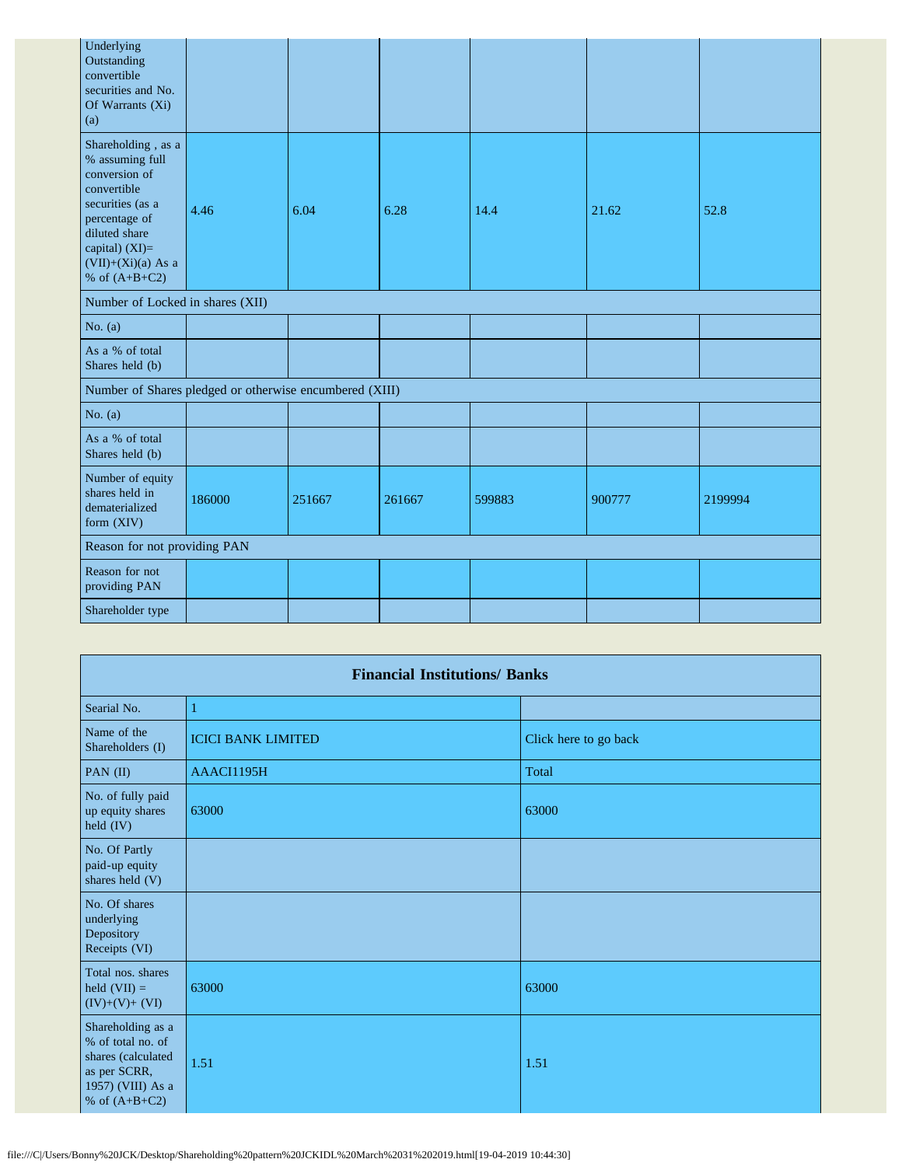| Underlying<br>Outstanding<br>convertible<br>securities and No.<br>Of Warrants (Xi)<br>(a)                                                                                                |        |        |        |        |        |         |
|------------------------------------------------------------------------------------------------------------------------------------------------------------------------------------------|--------|--------|--------|--------|--------|---------|
| Shareholding, as a<br>% assuming full<br>conversion of<br>convertible<br>securities (as a<br>percentage of<br>diluted share<br>capital) (XI)=<br>$(VII)+(Xi)(a)$ As a<br>% of $(A+B+C2)$ | 4.46   | 6.04   | 6.28   | 14.4   | 21.62  | 52.8    |
| Number of Locked in shares (XII)                                                                                                                                                         |        |        |        |        |        |         |
| No. $(a)$                                                                                                                                                                                |        |        |        |        |        |         |
| As a % of total<br>Shares held (b)                                                                                                                                                       |        |        |        |        |        |         |
| Number of Shares pledged or otherwise encumbered (XIII)                                                                                                                                  |        |        |        |        |        |         |
| No. $(a)$                                                                                                                                                                                |        |        |        |        |        |         |
| As a % of total<br>Shares held (b)                                                                                                                                                       |        |        |        |        |        |         |
| Number of equity<br>shares held in<br>dematerialized<br>form (XIV)                                                                                                                       | 186000 | 251667 | 261667 | 599883 | 900777 | 2199994 |
| Reason for not providing PAN                                                                                                                                                             |        |        |        |        |        |         |
| Reason for not<br>providing PAN                                                                                                                                                          |        |        |        |        |        |         |
| Shareholder type                                                                                                                                                                         |        |        |        |        |        |         |

|                                                                                                                      | <b>Financial Institutions/ Banks</b> |                       |  |  |  |  |  |  |  |
|----------------------------------------------------------------------------------------------------------------------|--------------------------------------|-----------------------|--|--|--|--|--|--|--|
| Searial No.                                                                                                          | П                                    |                       |  |  |  |  |  |  |  |
| Name of the<br>Shareholders (I)                                                                                      | <b>ICICI BANK LIMITED</b>            | Click here to go back |  |  |  |  |  |  |  |
| PAN (II)                                                                                                             | AAACI1195H                           | Total                 |  |  |  |  |  |  |  |
| No. of fully paid<br>up equity shares<br>held (IV)                                                                   | 63000                                | 63000                 |  |  |  |  |  |  |  |
| No. Of Partly<br>paid-up equity<br>shares held (V)                                                                   |                                      |                       |  |  |  |  |  |  |  |
| No. Of shares<br>underlying<br>Depository<br>Receipts (VI)                                                           |                                      |                       |  |  |  |  |  |  |  |
| Total nos. shares<br>held $(VII) =$<br>$(IV)+(V)+(VI)$                                                               | 63000                                | 63000                 |  |  |  |  |  |  |  |
| Shareholding as a<br>% of total no. of<br>shares (calculated<br>as per SCRR,<br>1957) (VIII) As a<br>% of $(A+B+C2)$ | 1.51                                 | 1.51                  |  |  |  |  |  |  |  |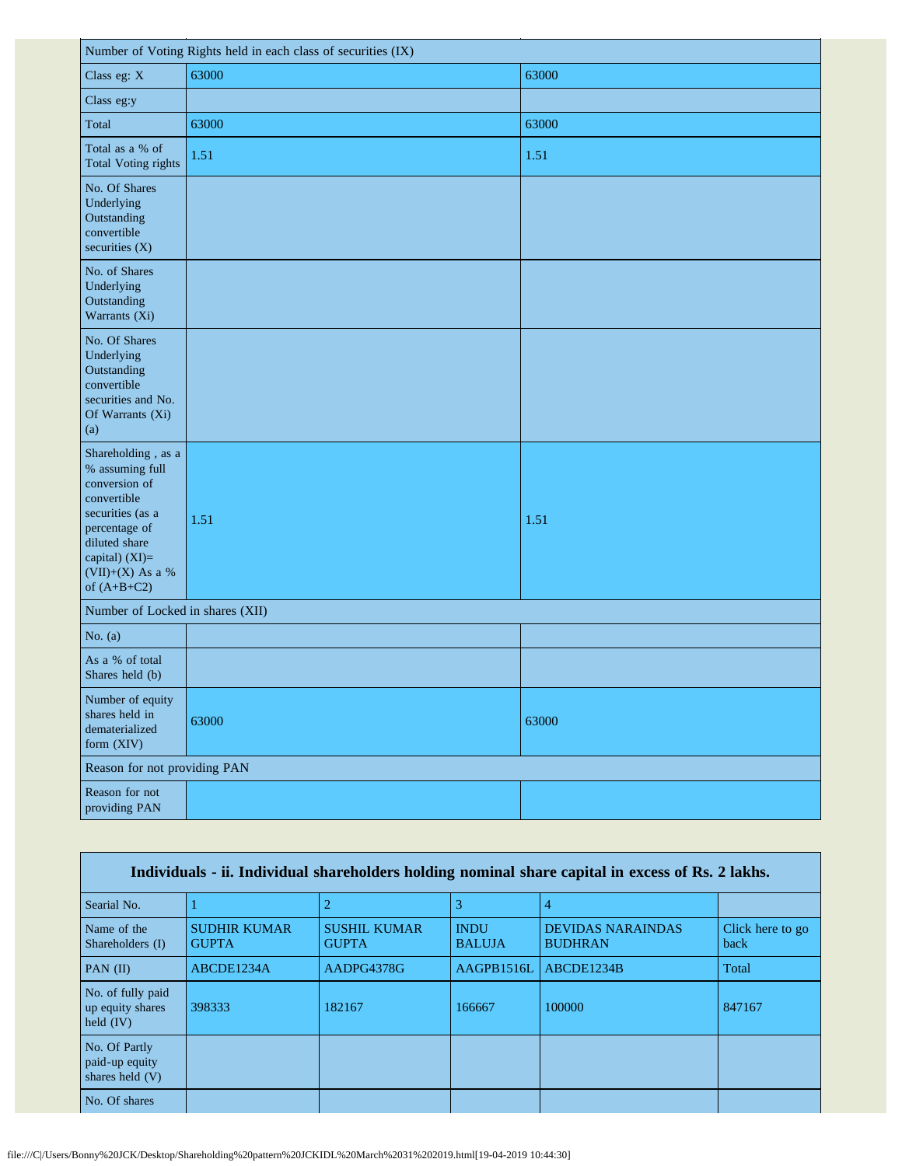| Number of Voting Rights held in each class of securities (IX)                                                                                                                         |       |       |  |
|---------------------------------------------------------------------------------------------------------------------------------------------------------------------------------------|-------|-------|--|
| Class eg: X                                                                                                                                                                           | 63000 | 63000 |  |
| Class eg:y                                                                                                                                                                            |       |       |  |
| Total                                                                                                                                                                                 | 63000 | 63000 |  |
| Total as a % of<br>Total Voting rights                                                                                                                                                | 1.51  | 1.51  |  |
| No. Of Shares<br>Underlying<br>Outstanding<br>convertible<br>securities (X)                                                                                                           |       |       |  |
| No. of Shares<br>Underlying<br>Outstanding<br>Warrants (Xi)                                                                                                                           |       |       |  |
| No. Of Shares<br>Underlying<br>Outstanding<br>convertible<br>securities and No.<br>Of Warrants (Xi)<br>(a)                                                                            |       |       |  |
| Shareholding , as a<br>% assuming full<br>conversion of<br>convertible<br>securities (as a<br>percentage of<br>diluted share<br>capital) (XI)=<br>$(VII)+(X)$ As a %<br>of $(A+B+C2)$ | 1.51  | 1.51  |  |
| Number of Locked in shares (XII)                                                                                                                                                      |       |       |  |
| No. $(a)$                                                                                                                                                                             |       |       |  |
| As a % of total<br>Shares held (b)                                                                                                                                                    |       |       |  |
| Number of equity<br>shares held in<br>dematerialized<br>form (XIV)                                                                                                                    | 63000 | 63000 |  |
| Reason for not providing PAN                                                                                                                                                          |       |       |  |
| Reason for not<br>providing PAN                                                                                                                                                       |       |       |  |

| Individuals - ii. Individual shareholders holding nominal share capital in excess of Rs. 2 lakhs. |                                     |                                     |                              |                                            |                          |
|---------------------------------------------------------------------------------------------------|-------------------------------------|-------------------------------------|------------------------------|--------------------------------------------|--------------------------|
| Searial No.                                                                                       |                                     |                                     | 3                            |                                            |                          |
| Name of the<br>Shareholders (I)                                                                   | <b>SUDHIR KUMAR</b><br><b>GUPTA</b> | <b>SUSHIL KUMAR</b><br><b>GUPTA</b> | <b>INDU</b><br><b>BALUJA</b> | <b>DEVIDAS NARAINDAS</b><br><b>BUDHRAN</b> | Click here to go<br>back |
| $PAN$ (II)                                                                                        | ABCDE1234A                          | AADPG4378G                          | AAGPB1516L                   | ABCDE1234B                                 | Total                    |
| No. of fully paid<br>up equity shares<br>held $(IV)$                                              | 398333                              | 182167                              | 166667                       | 100000                                     | 847167                   |
| No. Of Partly<br>paid-up equity<br>shares held $(V)$                                              |                                     |                                     |                              |                                            |                          |
| No. Of shares                                                                                     |                                     |                                     |                              |                                            |                          |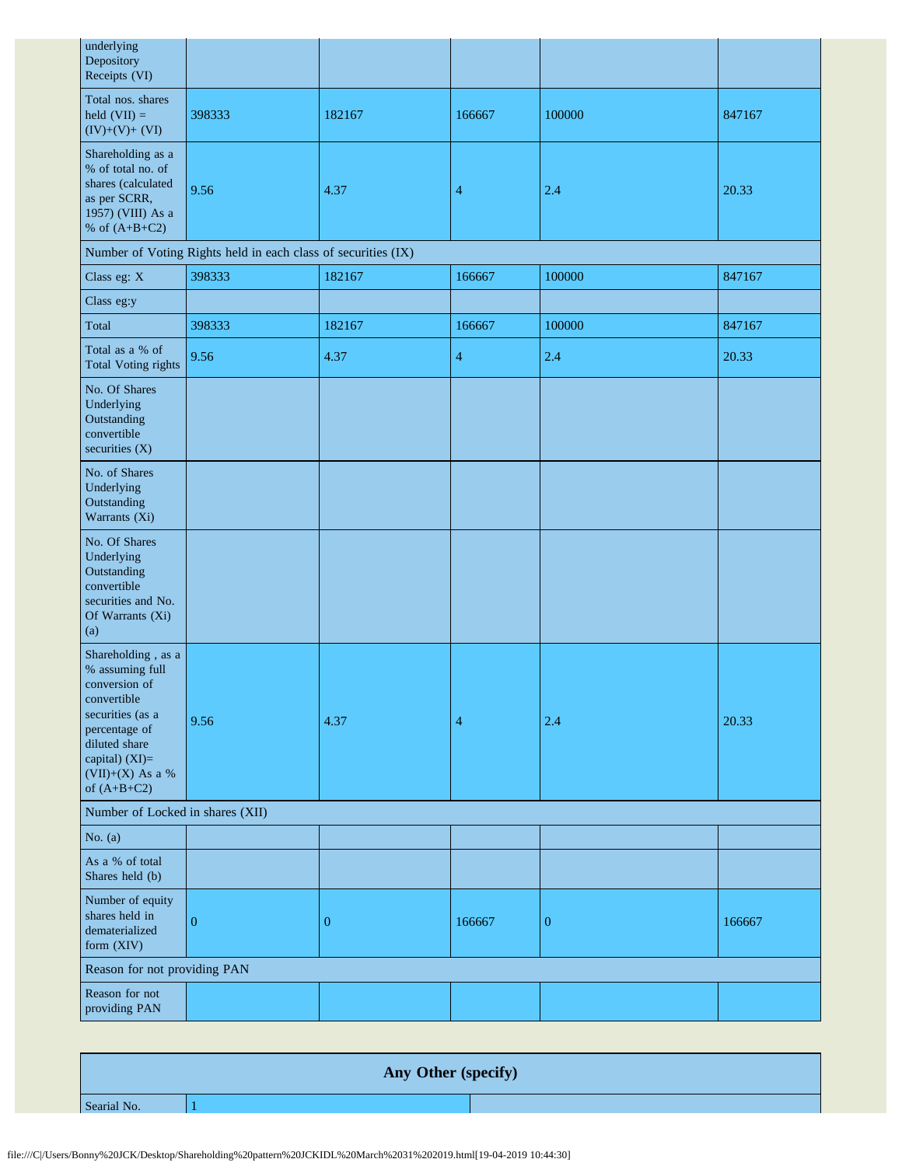| underlying<br>Depository<br>Receipts (VI)                                                                                                                                            |                                                               |                  |                |                  |        |
|--------------------------------------------------------------------------------------------------------------------------------------------------------------------------------------|---------------------------------------------------------------|------------------|----------------|------------------|--------|
| Total nos. shares<br>held $(VII) =$<br>$(IV)+(V)+(VI)$                                                                                                                               | 398333                                                        | 182167           | 166667         | 100000           | 847167 |
| Shareholding as a<br>% of total no. of<br>shares (calculated<br>as per SCRR,<br>1957) (VIII) As a<br>% of $(A+B+C2)$                                                                 | 9.56                                                          | 4.37             | 4              | 2.4              | 20.33  |
|                                                                                                                                                                                      | Number of Voting Rights held in each class of securities (IX) |                  |                |                  |        |
| Class eg: X                                                                                                                                                                          | 398333                                                        | 182167           | 166667         | 100000           | 847167 |
| Class eg:y                                                                                                                                                                           |                                                               |                  |                |                  |        |
| Total                                                                                                                                                                                | 398333                                                        | 182167           | 166667         | 100000           | 847167 |
| Total as a % of<br><b>Total Voting rights</b>                                                                                                                                        | 9.56                                                          | 4.37             | $\overline{4}$ | 2.4              | 20.33  |
| No. Of Shares<br>Underlying<br>Outstanding<br>convertible<br>securities (X)                                                                                                          |                                                               |                  |                |                  |        |
| No. of Shares<br>Underlying<br>Outstanding<br>Warrants (Xi)                                                                                                                          |                                                               |                  |                |                  |        |
| No. Of Shares<br>Underlying<br>Outstanding<br>convertible<br>securities and No.<br>Of Warrants (Xi)<br>(a)                                                                           |                                                               |                  |                |                  |        |
| Shareholding, as a<br>% assuming full<br>conversion of<br>convertible<br>securities (as a<br>percentage of<br>diluted share<br>capital) (XI)=<br>$(VII)+(X)$ As a %<br>of $(A+B+C2)$ | 9.56                                                          | 4.37             | 4              | 2.4              | 20.33  |
| Number of Locked in shares (XII)                                                                                                                                                     |                                                               |                  |                |                  |        |
| No. $(a)$                                                                                                                                                                            |                                                               |                  |                |                  |        |
| As a % of total<br>Shares held (b)                                                                                                                                                   |                                                               |                  |                |                  |        |
| Number of equity<br>shares held in<br>dematerialized<br>form (XIV)                                                                                                                   | $\overline{0}$                                                | $\boldsymbol{0}$ | 166667         | $\boldsymbol{0}$ | 166667 |
| Reason for not providing PAN                                                                                                                                                         |                                                               |                  |                |                  |        |
| Reason for not<br>providing PAN                                                                                                                                                      |                                                               |                  |                |                  |        |

**Any Other (specify)** Searial No. 1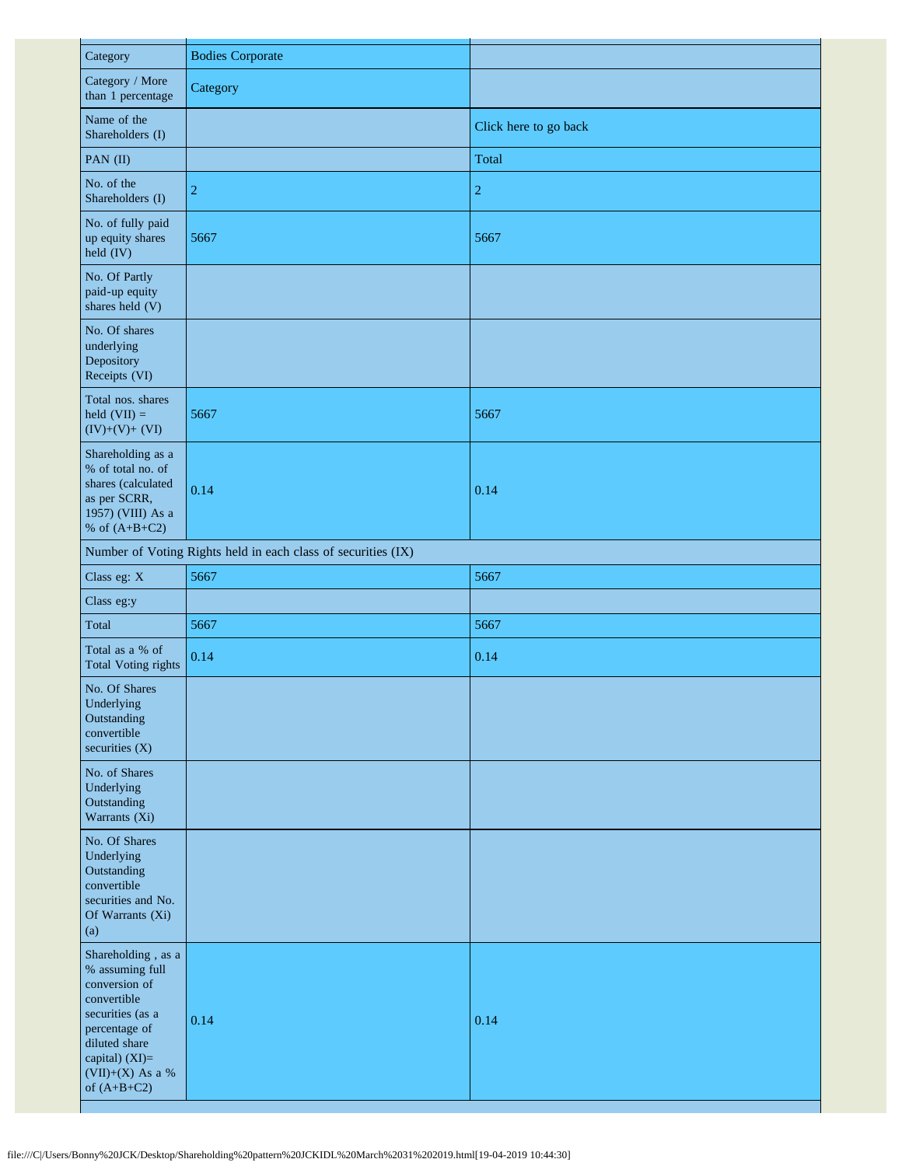| Category                                                                                                                                                                           | <b>Bodies Corporate</b>                                       |                       |
|------------------------------------------------------------------------------------------------------------------------------------------------------------------------------------|---------------------------------------------------------------|-----------------------|
| Category / More<br>than 1 percentage                                                                                                                                               | Category                                                      |                       |
| Name of the<br>Shareholders (I)                                                                                                                                                    |                                                               | Click here to go back |
| PAN (II)                                                                                                                                                                           |                                                               | <b>Total</b>          |
| No. of the<br>Shareholders (I)                                                                                                                                                     | $\overline{c}$                                                | $\overline{c}$        |
| No. of fully paid<br>up equity shares<br>held (IV)                                                                                                                                 | 5667                                                          | 5667                  |
| No. Of Partly<br>paid-up equity<br>shares held (V)                                                                                                                                 |                                                               |                       |
| No. Of shares<br>underlying<br>Depository<br>Receipts (VI)                                                                                                                         |                                                               |                       |
| Total nos. shares<br>held $(VII) =$<br>$(IV)+(V)+(VI)$                                                                                                                             | 5667                                                          | 5667                  |
| Shareholding as a<br>% of total no. of<br>shares (calculated<br>as per SCRR,<br>1957) (VIII) As a<br>% of $(A+B+C2)$                                                               | 0.14                                                          | 0.14                  |
|                                                                                                                                                                                    | Number of Voting Rights held in each class of securities (IX) |                       |
| Class eg: X                                                                                                                                                                        | 5667                                                          | 5667                  |
| Class eg:y                                                                                                                                                                         |                                                               |                       |
| Total                                                                                                                                                                              | 5667                                                          | 5667                  |
| Total as a % of<br><b>Total Voting rights</b>                                                                                                                                      | 0.14                                                          | 0.14                  |
| No. Of Shares<br>Underlying<br>Outstanding<br>convertible<br>securities $(X)$                                                                                                      |                                                               |                       |
| No. of Shares<br>Underlying<br>Outstanding<br>Warrants (Xi)                                                                                                                        |                                                               |                       |
| No. Of Shares<br>Underlying<br>Outstanding<br>convertible<br>securities and No.<br>Of Warrants (Xi)<br>(a)                                                                         |                                                               |                       |
| Shareholding, as a<br>% assuming full<br>conversion of<br>convertible<br>securities (as a<br>percentage of<br>diluted share<br>capital) (XI)=<br>(VII)+(X) As a %<br>of $(A+B+C2)$ | 0.14                                                          | 0.14                  |